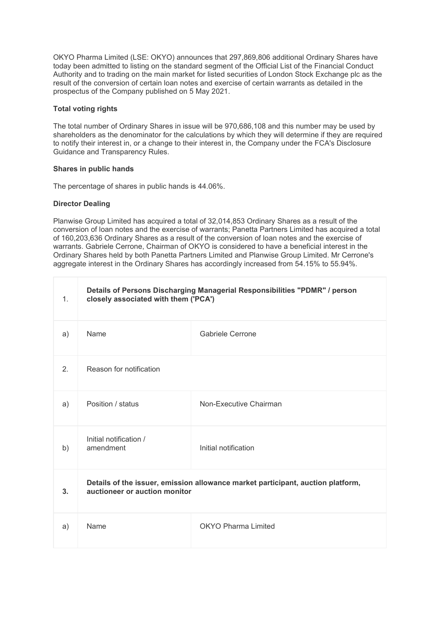OKYO Pharma Limited (LSE: OKYO) announces that 297,869,806 additional Ordinary Shares have today been admitted to listing on the standard segment of the Official List of the Financial Conduct Authority and to trading on the main market for listed securities of London Stock Exchange plc as the result of the conversion of certain loan notes and exercise of certain warrants as detailed in the prospectus of the Company published on 5 May 2021.

## **Total voting rights**

The total number of Ordinary Shares in issue will be 970,686,108 and this number may be used by shareholders as the denominator for the calculations by which they will determine if they are required to notify their interest in, or a change to their interest in, the Company under the FCA's Disclosure Guidance and Transparency Rules.

### **Shares in public hands**

The percentage of shares in public hands is 44.06%.

### **Director Dealing**

Planwise Group Limited has acquired a total of 32,014,853 Ordinary Shares as a result of the conversion of loan notes and the exercise of warrants; Panetta Partners Limited has acquired a total of 160,203,636 Ordinary Shares as a result of the conversion of loan notes and the exercise of warrants. Gabriele Cerrone, Chairman of OKYO is considered to have a beneficial interest in the Ordinary Shares held by both Panetta Partners Limited and Planwise Group Limited. Mr Cerrone's aggregate interest in the Ordinary Shares has accordingly increased from 54.15% to 55.94%.

| $\mathbf{1}$ . | Details of Persons Discharging Managerial Responsibilities "PDMR" / person<br>closely associated with them ('PCA') |                            |  |
|----------------|--------------------------------------------------------------------------------------------------------------------|----------------------------|--|
| a)             | Name                                                                                                               | <b>Gabriele Cerrone</b>    |  |
| 2.             | Reason for notification                                                                                            |                            |  |
| a)             | Position / status                                                                                                  | Non-Executive Chairman     |  |
| b)             | Initial notification /<br>amendment                                                                                | Initial notification       |  |
| 3.             | Details of the issuer, emission allowance market participant, auction platform,<br>auctioneer or auction monitor   |                            |  |
| a)             | Name                                                                                                               | <b>OKYO Pharma Limited</b> |  |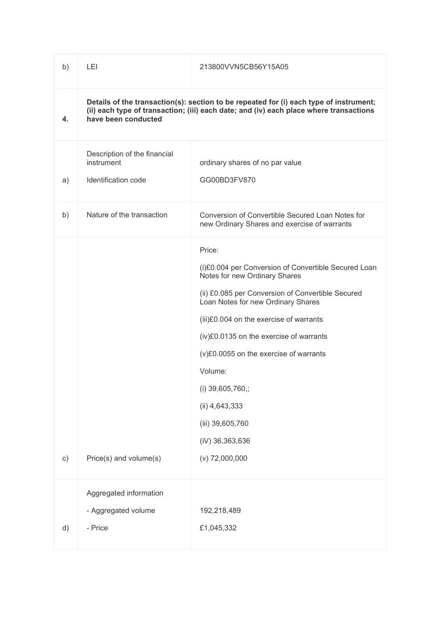| b)       | LEI                                                                                                                                                                                                     | 213800VVN5CB56Y15A05                                                                                                                                                                                                                                                                                                                                                                                                                   |  |
|----------|---------------------------------------------------------------------------------------------------------------------------------------------------------------------------------------------------------|----------------------------------------------------------------------------------------------------------------------------------------------------------------------------------------------------------------------------------------------------------------------------------------------------------------------------------------------------------------------------------------------------------------------------------------|--|
| 4.       | Details of the transaction(s): section to be repeated for (i) each type of instrument;<br>(ii) each type of transaction; (iii) each date; and (iv) each place where transactions<br>have been conducted |                                                                                                                                                                                                                                                                                                                                                                                                                                        |  |
| a)       | Description of the financial<br>instrument<br>Identification code                                                                                                                                       | ordinary shares of no par value<br>GG00BD3FV870                                                                                                                                                                                                                                                                                                                                                                                        |  |
| b)       | Nature of the transaction                                                                                                                                                                               | Conversion of Convertible Secured Loan Notes for<br>new Ordinary Shares and exercise of warrants                                                                                                                                                                                                                                                                                                                                       |  |
| $\circ)$ | Price(s) and volume(s)                                                                                                                                                                                  | Price:<br>(i)£0.004 per Conversion of Convertible Secured Loan<br>Notes for new Ordinary Shares<br>(ii) £0.085 per Conversion of Convertible Secured<br>Loan Notes for new Ordinary Shares<br>(iii)£0.004 on the exercise of warrants<br>(iv)£0.0135 on the exercise of warrants<br>(v)£0.0055 on the exercise of warrants<br>Volume:<br>(i) 39,605,760,;<br>(ii) 4,643,333<br>(iii) 39,605,760<br>(iV) 36,363,636<br>$(v)$ 72,000,000 |  |
| d)       | Aggregated information<br>- Aggregated volume<br>- Price                                                                                                                                                | 192,218,489<br>£1,045,332                                                                                                                                                                                                                                                                                                                                                                                                              |  |